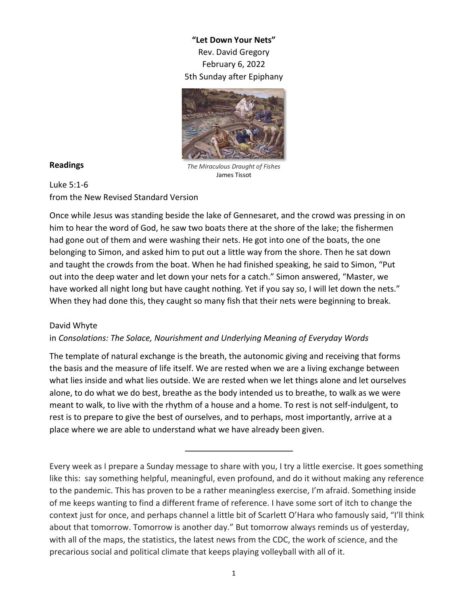**"Let Down Your Nets"** Rev. David Gregory February 6, 2022 5th Sunday after Epiphany



## **Readings**

*The Miraculous Draught of Fishes* James Tissot

Luke 5:1-6 from the New Revised Standard Version

Once while Jesus was standing beside the lake of Gennesaret, and the crowd was pressing in on him to hear the word of God, he saw two boats there at the shore of the lake; the fishermen had gone out of them and were washing their nets. He got into one of the boats, the one belonging to Simon, and asked him to put out a little way from the shore. Then he sat down and taught the crowds from the boat. When he had finished speaking, he said to Simon, "Put out into the deep water and let down your nets for a catch." Simon answered, "Master, we have worked all night long but have caught nothing. Yet if you say so, I will let down the nets." When they had done this, they caught so many fish that their nets were beginning to break.

## David Whyte

## in *Consolations: The Solace, Nourishment and Underlying Meaning of Everyday Words*

The template of natural exchange is the breath, the autonomic giving and receiving that forms the basis and the measure of life itself. We are rested when we are a living exchange between what lies inside and what lies outside. We are rested when we let things alone and let ourselves alone, to do what we do best, breathe as the body intended us to breathe, to walk as we were meant to walk, to live with the rhythm of a house and a home. To rest is not self-indulgent, to rest is to prepare to give the best of ourselves, and to perhaps, most importantly, arrive at a place where we are able to understand what we have already been given.

Every week as I prepare a Sunday message to share with you, I try a little exercise. It goes something like this: say something helpful, meaningful, even profound, and do it without making any reference to the pandemic. This has proven to be a rather meaningless exercise, I'm afraid. Something inside of me keeps wanting to find a different frame of reference. I have some sort of itch to change the context just for once, and perhaps channel a little bit of Scarlett O'Hara who famously said, "I'll think about that tomorrow. Tomorrow is another day." But tomorrow always reminds us of yesterday, with all of the maps, the statistics, the latest news from the CDC, the work of science, and the precarious social and political climate that keeps playing volleyball with all of it.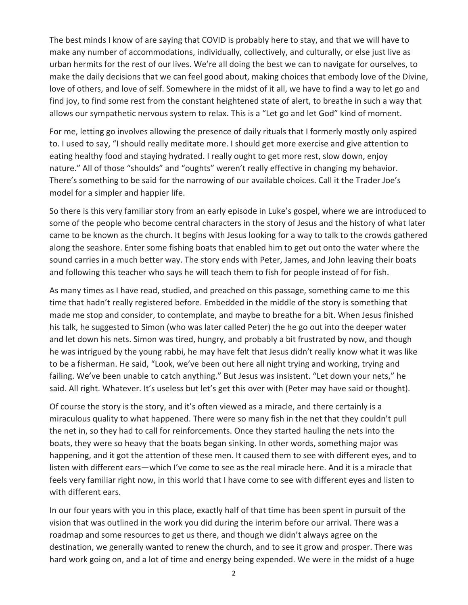The best minds I know of are saying that COVID is probably here to stay, and that we will have to make any number of accommodations, individually, collectively, and culturally, or else just live as urban hermits for the rest of our lives. We're all doing the best we can to navigate for ourselves, to make the daily decisions that we can feel good about, making choices that embody love of the Divine, love of others, and love of self. Somewhere in the midst of it all, we have to find a way to let go and find joy, to find some rest from the constant heightened state of alert, to breathe in such a way that allows our sympathetic nervous system to relax. This is a "Let go and let God" kind of moment.

For me, letting go involves allowing the presence of daily rituals that I formerly mostly only aspired to. I used to say, "I should really meditate more. I should get more exercise and give attention to eating healthy food and staying hydrated. I really ought to get more rest, slow down, enjoy nature." All of those "shoulds" and "oughts" weren't really effective in changing my behavior. There's something to be said for the narrowing of our available choices. Call it the Trader Joe's model for a simpler and happier life.

So there is this very familiar story from an early episode in Luke's gospel, where we are introduced to some of the people who become central characters in the story of Jesus and the history of what later came to be known as the church. It begins with Jesus looking for a way to talk to the crowds gathered along the seashore. Enter some fishing boats that enabled him to get out onto the water where the sound carries in a much better way. The story ends with Peter, James, and John leaving their boats and following this teacher who says he will teach them to fish for people instead of for fish.

As many times as I have read, studied, and preached on this passage, something came to me this time that hadn't really registered before. Embedded in the middle of the story is something that made me stop and consider, to contemplate, and maybe to breathe for a bit. When Jesus finished his talk, he suggested to Simon (who was later called Peter) the he go out into the deeper water and let down his nets. Simon was tired, hungry, and probably a bit frustrated by now, and though he was intrigued by the young rabbi, he may have felt that Jesus didn't really know what it was like to be a fisherman. He said, "Look, we've been out here all night trying and working, trying and failing. We've been unable to catch anything." But Jesus was insistent. "Let down your nets," he said. All right. Whatever. It's useless but let's get this over with (Peter may have said or thought).

Of course the story is the story, and it's often viewed as a miracle, and there certainly is a miraculous quality to what happened. There were so many fish in the net that they couldn't pull the net in, so they had to call for reinforcements. Once they started hauling the nets into the boats, they were so heavy that the boats began sinking. In other words, something major was happening, and it got the attention of these men. It caused them to see with different eyes, and to listen with different ears—which I've come to see as the real miracle here. And it is a miracle that feels very familiar right now, in this world that I have come to see with different eyes and listen to with different ears.

In our four years with you in this place, exactly half of that time has been spent in pursuit of the vision that was outlined in the work you did during the interim before our arrival. There was a roadmap and some resources to get us there, and though we didn't always agree on the destination, we generally wanted to renew the church, and to see it grow and prosper. There was hard work going on, and a lot of time and energy being expended. We were in the midst of a huge